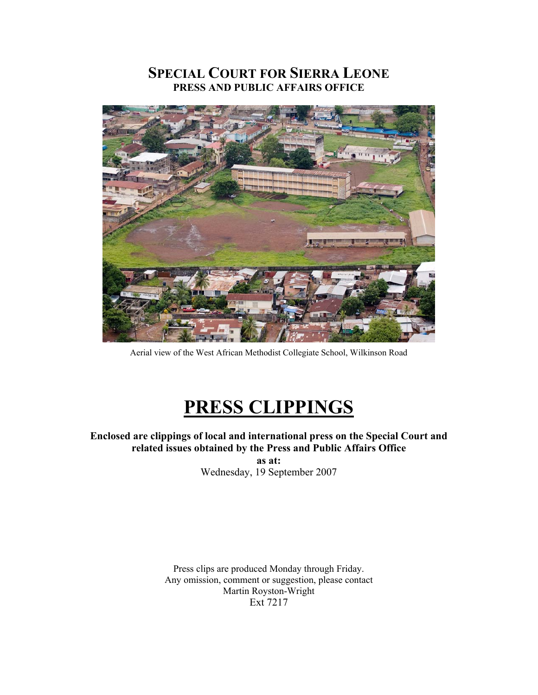# **SPECIAL COURT FOR SIERRA LEONE PRESS AND PUBLIC AFFAIRS OFFICE**



Aerial view of the West African Methodist Collegiate School, Wilkinson Road

# **PRESS CLIPPINGS**

# **Enclosed are clippings of local and international press on the Special Court and related issues obtained by the Press and Public Affairs Office**

**as at:**  Wednesday, 19 September 2007

Press clips are produced Monday through Friday. Any omission, comment or suggestion, please contact Martin Royston-Wright Ext 7217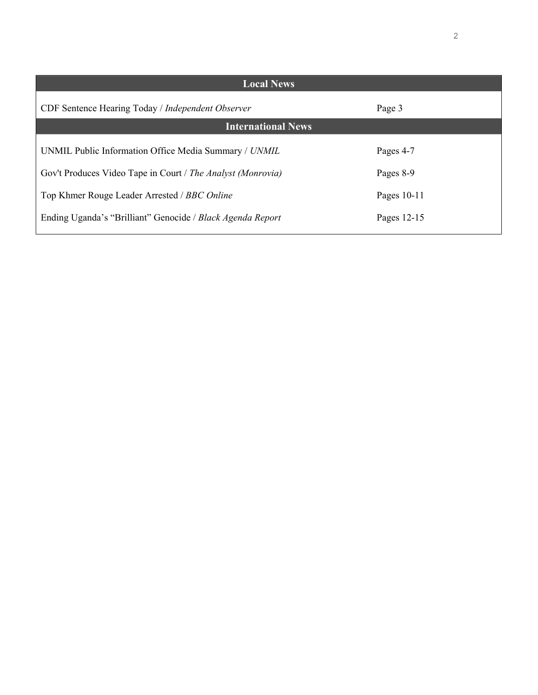| <b>Local News</b>                                           |             |
|-------------------------------------------------------------|-------------|
| CDF Sentence Hearing Today / Independent Observer           | Page 3      |
| <b>International News</b>                                   |             |
| UNMIL Public Information Office Media Summary / UNMIL       | Pages 4-7   |
| Gov't Produces Video Tape in Court / The Analyst (Monrovia) | Pages 8-9   |
| Top Khmer Rouge Leader Arrested / BBC Online                | Pages 10-11 |
| Ending Uganda's "Brilliant" Genocide / Black Agenda Report  | Pages 12-15 |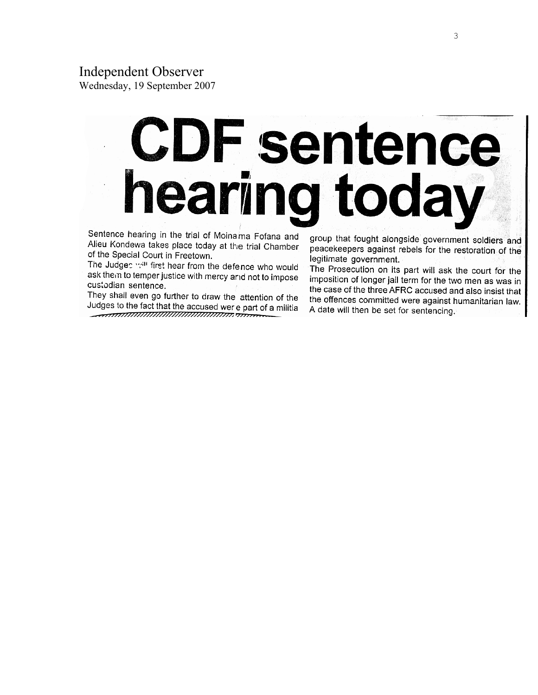Wednesday, 19 September 2007

# **CDF sentence** earing today

Sentence hearing in the trial of Moinama Fofana and Alieu Kondewa takes place today at the trial Chamber of the Special Court in Freetown.

The Judges will first hear from the defence who would ask them to temper justice with mercy and not to impose custodian sentence.

They shall even go further to draw the attention of the Judges to the fact that the accused were part of a militia 

group that fought alongside government soldiers and peacekeepers against rebels for the restoration of the legitimate government.

The Prosecution on its part will ask the court for the imposition of longer jail term for the two men as was in the case of the three AFRC accused and also insist that the offences committed were against humanitarian law. A date will then be set for sentencing.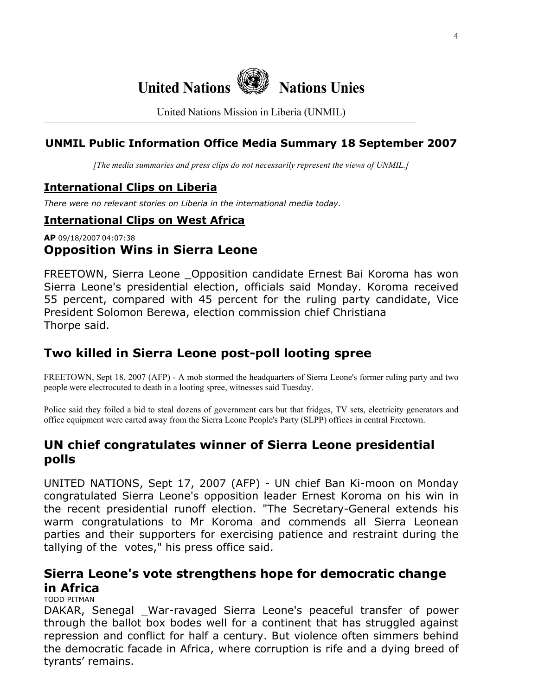

United Nations Mission in Liberia (UNMIL)

# **UNMIL Public Information Office Media Summary 18 September 2007**

*[The media summaries and press clips do not necessarily represent the views of UNMIL.]*

# **International Clips on Liberia**

*There were no relevant stories on Liberia in the international media today.* 

## **International Clips on West Africa**

# **AP** 09/18/2007 04:07:38 **Opposition Wins in Sierra Leone**

FREETOWN, Sierra Leone \_Opposition candidate Ernest Bai Koroma has won Sierra Leone's presidential election, officials said Monday. Koroma received 55 percent, compared with 45 percent for the ruling party candidate, Vice President Solomon Berewa, election commission chief Christiana Thorpe said.

# **Two killed in Sierra Leone post-poll looting spree**

FREETOWN, Sept 18, 2007 (AFP) - A mob stormed the headquarters of Sierra Leone's former ruling party and two people were electrocuted to death in a looting spree, witnesses said Tuesday.

Police said they foiled a bid to steal dozens of government cars but that fridges, TV sets, electricity generators and office equipment were carted away from the Sierra Leone People's Party (SLPP) offices in central Freetown.

# **UN chief congratulates winner of Sierra Leone presidential polls**

UNITED NATIONS, Sept 17, 2007 (AFP) - UN chief Ban Ki-moon on Monday congratulated Sierra Leone's opposition leader Ernest Koroma on his win in the recent presidential runoff election. "The Secretary-General extends his warm congratulations to Mr Koroma and commends all Sierra Leonean parties and their supporters for exercising patience and restraint during the tallying of the votes," his press office said.

# **Sierra Leone's vote strengthens hope for democratic change in Africa**

TODD PITMAN

DAKAR, Senegal War-ravaged Sierra Leone's peaceful transfer of power through the ballot box bodes well for a continent that has struggled against repression and conflict for half a century. But violence often simmers behind the democratic facade in Africa, where corruption is rife and a dying breed of tyrants' remains.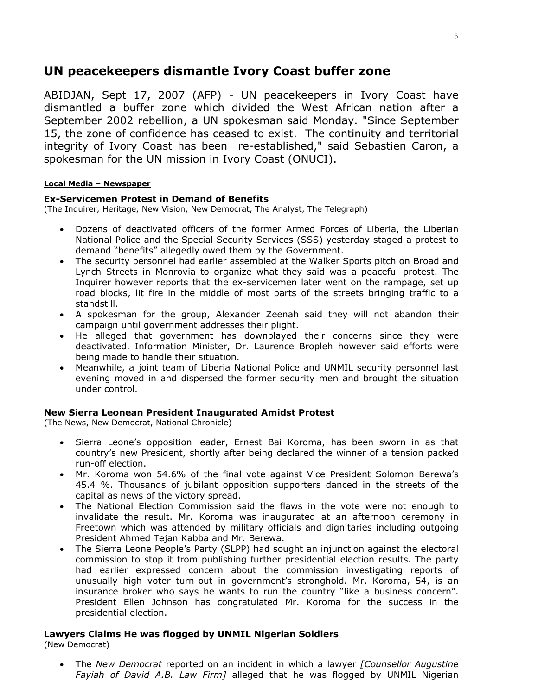# **UN peacekeepers dismantle Ivory Coast buffer zone**

ABIDJAN, Sept 17, 2007 (AFP) - UN peacekeepers in Ivory Coast have dismantled a buffer zone which divided the West African nation after a September 2002 rebellion, a UN spokesman said Monday. "Since September 15, the zone of confidence has ceased to exist. The continuity and territorial integrity of Ivory Coast has been re-established," said Sebastien Caron, a spokesman for the UN mission in Ivory Coast (ONUCI).

### **Local Media – Newspaper**

### **Ex-Servicemen Protest in Demand of Benefits**

(The Inquirer, Heritage, New Vision, New Democrat, The Analyst, The Telegraph)

- Dozens of deactivated officers of the former Armed Forces of Liberia, the Liberian National Police and the Special Security Services (SSS) yesterday staged a protest to demand "benefits" allegedly owed them by the Government.
- The security personnel had earlier assembled at the Walker Sports pitch on Broad and Lynch Streets in Monrovia to organize what they said was a peaceful protest. The Inquirer however reports that the ex-servicemen later went on the rampage, set up road blocks, lit fire in the middle of most parts of the streets bringing traffic to a standstill.
- A spokesman for the group, Alexander Zeenah said they will not abandon their campaign until government addresses their plight.
- He alleged that government has downplayed their concerns since they were deactivated. Information Minister, Dr. Laurence Bropleh however said efforts were being made to handle their situation.
- Meanwhile, a joint team of Liberia National Police and UNMIL security personnel last evening moved in and dispersed the former security men and brought the situation under control.

### **New Sierra Leonean President Inaugurated Amidst Protest**

(The News, New Democrat, National Chronicle)

- Sierra Leone's opposition leader, Ernest Bai Koroma, has been sworn in as that country's new President, shortly after being declared the winner of a tension packed run-off election.
- Mr. Koroma won 54.6% of the final vote against Vice President Solomon Berewa's 45.4 %. Thousands of jubilant opposition supporters danced in the streets of the capital as news of the victory spread.
- The National Election Commission said the flaws in the vote were not enough to invalidate the result. Mr. Koroma was inaugurated at an afternoon ceremony in Freetown which was attended by military officials and dignitaries including outgoing President Ahmed Tejan Kabba and Mr. Berewa.
- The Sierra Leone People's Party (SLPP) had sought an injunction against the electoral commission to stop it from publishing further presidential election results. The party had earlier expressed concern about the commission investigating reports of unusually high voter turn-out in government's stronghold. Mr. Koroma, 54, is an insurance broker who says he wants to run the country "like a business concern". President Ellen Johnson has congratulated Mr. Koroma for the success in the presidential election.

### **Lawyers Claims He was flogged by UNMIL Nigerian Soldiers**

(New Democrat)

• The *New Democrat* reported on an incident in which a lawyer *[Counsellor Augustine Fayiah of David A.B. Law Firm]* alleged that he was flogged by UNMIL Nigerian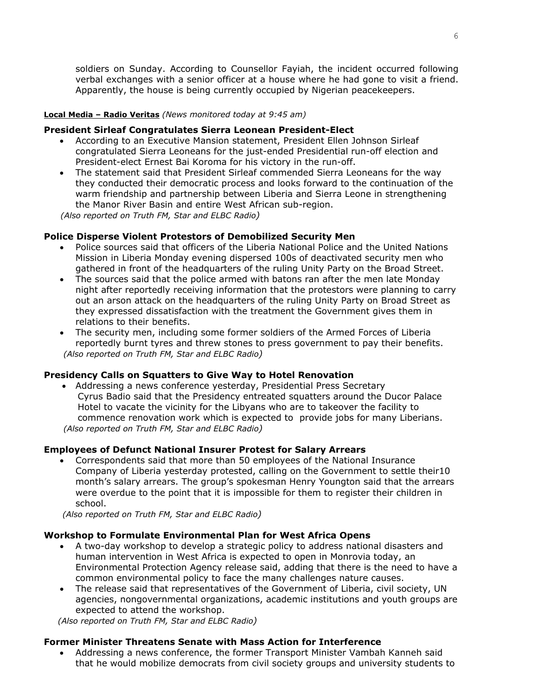soldiers on Sunday. According to Counsellor Fayiah, the incident occurred following verbal exchanges with a senior officer at a house where he had gone to visit a friend. Apparently, the house is being currently occupied by Nigerian peacekeepers.

### **Local Media – Radio Veritas** *(News monitored today at 9:45 am)*

### **President Sirleaf Congratulates Sierra Leonean President-Elect**

- According to an Executive Mansion statement, President Ellen Johnson Sirleaf congratulated Sierra Leoneans for the just-ended Presidential run-off election and President-elect Ernest Bai Koroma for his victory in the run-off.
- The statement said that President Sirleaf commended Sierra Leoneans for the way they conducted their democratic process and looks forward to the continuation of the warm friendship and partnership between Liberia and Sierra Leone in strengthening the Manor River Basin and entire West African sub-region.

 *(Also reported on Truth FM, Star and ELBC Radio)*

### **Police Disperse Violent Protestors of Demobilized Security Men**

- Police sources said that officers of the Liberia National Police and the United Nations Mission in Liberia Monday evening dispersed 100s of deactivated security men who gathered in front of the headquarters of the ruling Unity Party on the Broad Street.
- The sources said that the police armed with batons ran after the men late Monday night after reportedly receiving information that the protestors were planning to carry out an arson attack on the headquarters of the ruling Unity Party on Broad Street as they expressed dissatisfaction with the treatment the Government gives them in relations to their benefits.
- The security men, including some former soldiers of the Armed Forces of Liberia reportedly burnt tyres and threw stones to press government to pay their benefits.  *(Also reported on Truth FM, Star and ELBC Radio)*

### **Presidency Calls on Squatters to Give Way to Hotel Renovation**

• Addressing a news conference yesterday, Presidential Press Secretary Cyrus Badio said that the Presidency entreated squatters around the Ducor Palace Hotel to vacate the vicinity for the Libyans who are to takeover the facility to commence renovation work which is expected to provide jobs for many Liberians.  *(Also reported on Truth FM, Star and ELBC Radio)*

### **Employees of Defunct National Insurer Protest for Salary Arrears**

• Correspondents said that more than 50 employees of the National Insurance Company of Liberia yesterday protested, calling on the Government to settle their10 month's salary arrears. The group's spokesman Henry Youngton said that the arrears were overdue to the point that it is impossible for them to register their children in school.

*(Also reported on Truth FM, Star and ELBC Radio)*

### **Workshop to Formulate Environmental Plan for West Africa Opens**

- A two-day workshop to develop a strategic policy to address national disasters and human intervention in West Africa is expected to open in Monrovia today, an Environmental Protection Agency release said, adding that there is the need to have a common environmental policy to face the many challenges nature causes.
- The release said that representatives of the Government of Liberia, civil society, UN agencies, nongovernmental organizations, academic institutions and youth groups are expected to attend the workshop.

 *(Also reported on Truth FM, Star and ELBC Radio)*

### **Former Minister Threatens Senate with Mass Action for Interference**

• Addressing a news conference, the former Transport Minister Vambah Kanneh said that he would mobilize democrats from civil society groups and university students to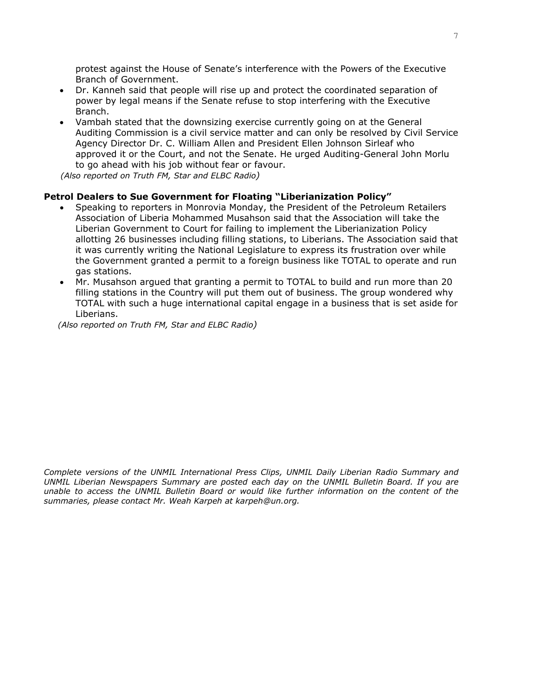protest against the House of Senate's interference with the Powers of the Executive Branch of Government.

- Dr. Kanneh said that people will rise up and protect the coordinated separation of power by legal means if the Senate refuse to stop interfering with the Executive Branch.
- Vambah stated that the downsizing exercise currently going on at the General Auditing Commission is a civil service matter and can only be resolved by Civil Service Agency Director Dr. C. William Allen and President Ellen Johnson Sirleaf who approved it or the Court, and not the Senate. He urged Auditing-General John Morlu to go ahead with his job without fear or favour.

 *(Also reported on Truth FM, Star and ELBC Radio)*

### **Petrol Dealers to Sue Government for Floating "Liberianization Policy"**

- Speaking to reporters in Monrovia Monday, the President of the Petroleum Retailers Association of Liberia Mohammed Musahson said that the Association will take the Liberian Government to Court for failing to implement the Liberianization Policy allotting 26 businesses including filling stations, to Liberians. The Association said that it was currently writing the National Legislature to express its frustration over while the Government granted a permit to a foreign business like TOTAL to operate and run gas stations.
- Mr. Musahson argued that granting a permit to TOTAL to build and run more than 20 filling stations in the Country will put them out of business. The group wondered why TOTAL with such a huge international capital engage in a business that is set aside for Liberians.

 *(Also reported on Truth FM, Star and ELBC Radio)* 

*Complete versions of the UNMIL International Press Clips, UNMIL Daily Liberian Radio Summary and UNMIL Liberian Newspapers Summary are posted each day on the UNMIL Bulletin Board. If you are unable to access the UNMIL Bulletin Board or would like further information on the content of the summaries, please contact Mr. Weah Karpeh at karpeh@un.org.*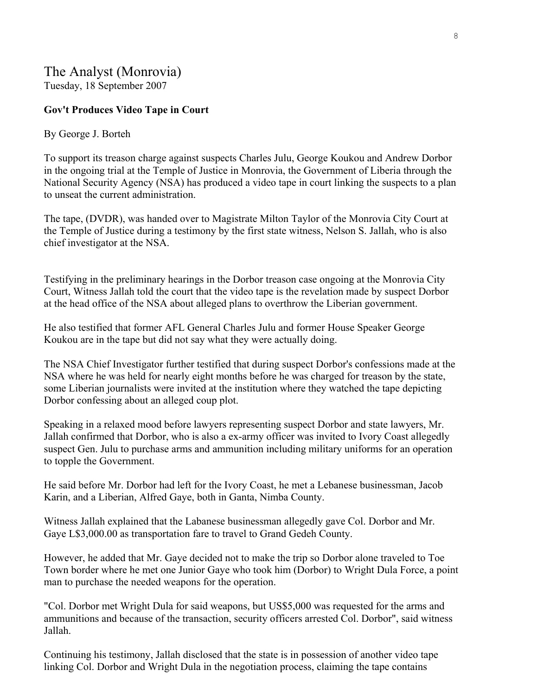# The Analyst (Monrovia)

Tuesday, 18 September 2007

### **Gov't Produces Video Tape in Court**

### By George J. Borteh

To support its treason charge against suspects Charles Julu, George Koukou and Andrew Dorbor in the ongoing trial at the Temple of Justice in Monrovia, the Government of Liberia through the National Security Agency (NSA) has produced a video tape in court linking the suspects to a plan to unseat the current administration.

The tape, (DVDR), was handed over to Magistrate Milton Taylor of the Monrovia City Court at the Temple of Justice during a testimony by the first state witness, Nelson S. Jallah, who is also chief investigator at the NSA.

Testifying in the preliminary hearings in the Dorbor treason case ongoing at the Monrovia City Court, Witness Jallah told the court that the video tape is the revelation made by suspect Dorbor at the head office of the NSA about alleged plans to overthrow the Liberian government.

He also testified that former AFL General Charles Julu and former House Speaker George Koukou are in the tape but did not say what they were actually doing.

The NSA Chief Investigator further testified that during suspect Dorbor's confessions made at the NSA where he was held for nearly eight months before he was charged for treason by the state, some Liberian journalists were invited at the institution where they watched the tape depicting Dorbor confessing about an alleged coup plot.

Speaking in a relaxed mood before lawyers representing suspect Dorbor and state lawyers, Mr. Jallah confirmed that Dorbor, who is also a ex-army officer was invited to Ivory Coast allegedly suspect Gen. Julu to purchase arms and ammunition including military uniforms for an operation to topple the Government.

He said before Mr. Dorbor had left for the Ivory Coast, he met a Lebanese businessman, Jacob Karin, and a Liberian, Alfred Gaye, both in Ganta, Nimba County.

Witness Jallah explained that the Labanese businessman allegedly gave Col. Dorbor and Mr. Gaye L\$3,000.00 as transportation fare to travel to Grand Gedeh County.

However, he added that Mr. Gaye decided not to make the trip so Dorbor alone traveled to Toe Town border where he met one Junior Gaye who took him (Dorbor) to Wright Dula Force, a point man to purchase the needed weapons for the operation.

"Col. Dorbor met Wright Dula for said weapons, but US\$5,000 was requested for the arms and ammunitions and because of the transaction, security officers arrested Col. Dorbor", said witness Jallah.

Continuing his testimony, Jallah disclosed that the state is in possession of another video tape linking Col. Dorbor and Wright Dula in the negotiation process, claiming the tape contains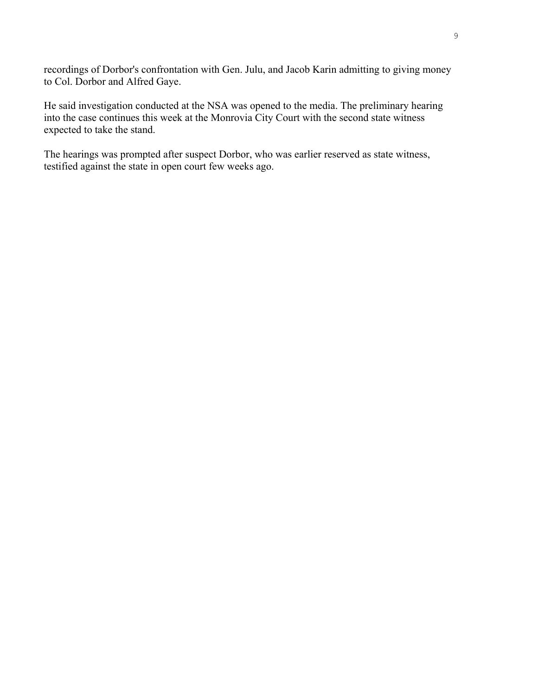recordings of Dorbor's confrontation with Gen. Julu, and Jacob Karin admitting to giving money to Col. Dorbor and Alfred Gaye.

He said investigation conducted at the NSA was opened to the media. The preliminary hearing into the case continues this week at the Monrovia City Court with the second state witness expected to take the stand.

The hearings was prompted after suspect Dorbor, who was earlier reserved as state witness, testified against the state in open court few weeks ago.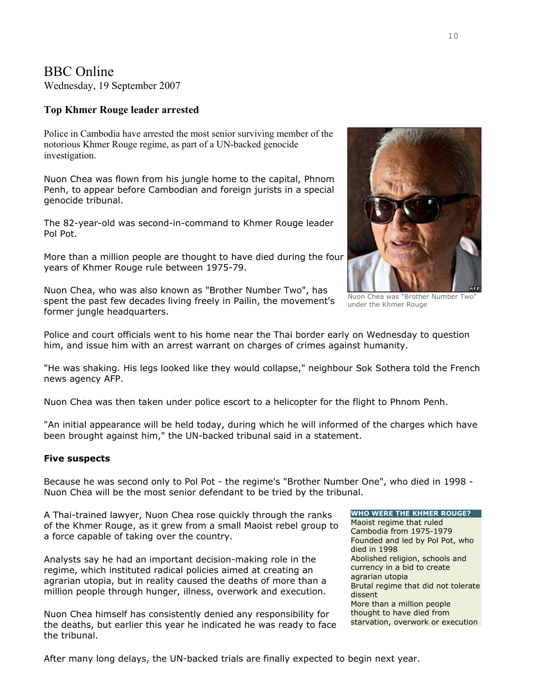# BBC Online

Wednesday, 19 September 2007

### **Top Khmer Rouge leader arrested**

Police in Cambodia have arrested the most senior surviving member of the notorious Khmer Rouge regime, as part of a UN-backed genocide investigation.

Nuon Chea was flown from his jungle home to the capital, Phnom Penh, to appear before Cambodian and foreign jurists in a special genocide tribunal.

The 82-year-old was second-in-command to Khmer Rouge leader Pol Pot.

More than a million people are thought to have died during the four years of Khmer Rouge rule between 1975-79.

Nuon Chea, who was also known as "Brother Number Two", has spent the past few decades living freely in Pailin, the movement's former jungle headquarters.

Nuon Chea was "Brother Number Two" under the Khmer Rouge

Police and court officials went to his home near the Thai border early on Wednesday to question him, and issue him with an arrest warrant on charges of crimes against humanity.

"He was shaking. His legs looked like they would collapse," neighbour Sok Sothera told the French news agency AFP.

Nuon Chea was then taken under police escort to a helicopter for the flight to Phnom Penh.

"An initial appearance will be held today, during which he will informed of the charges which have been brought against him," the UN-backed tribunal said in a statement.

### **Five suspects**

Because he was second only to Pol Pot - the regime's "Brother Number One", who died in 1998 - Nuon Chea will be the most senior defendant to be tried by the tribunal.

A Thai-trained lawyer, Nuon Chea rose quickly through the ranks of the Khmer Rouge, as it grew from a small Maoist rebel group to a force capable of taking over the country.

Analysts say he had an important decision-making role in the regime, which instituted radical policies aimed at creating an agrarian utopia, but in reality caused the deaths of more than a million people through hunger, illness, overwork and execution.

Nuon Chea himself has consistently denied any responsibility for the deaths, but earlier this year he indicated he was ready to face the tribunal.

**WHO WERE THE KHMER ROUGE?**  Maoist regime that ruled Cambodia from 1975-1979 Founded and led by Pol Pot, who died in 1998 Abolished religion, schools and currency in a bid to create agrarian utopia Brutal regime that did not tolerate dissent More than a million people thought to have died from starvation, overwork or execution

After many long delays, the UN-backed trials are finally expected to begin next year.

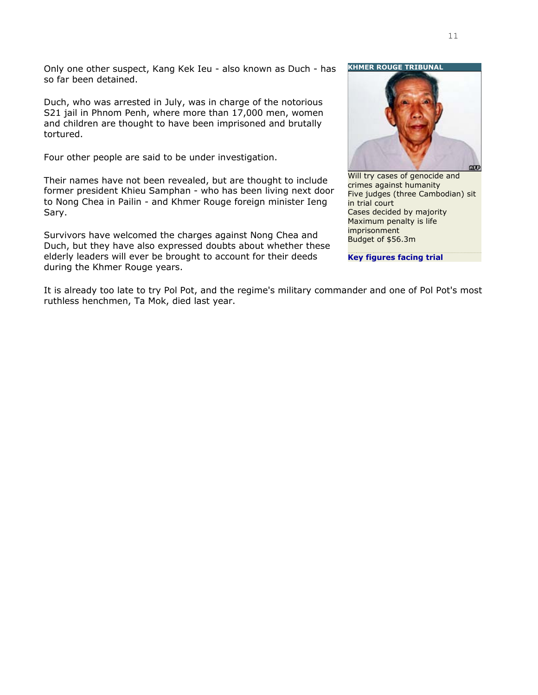Only one other suspect, Kang Kek Ieu - also known as Duch - has so far been detained.

Duch, who was arrested in July, was in charge of the notorious S21 jail in Phnom Penh, where more than 17,000 men, women and children are thought to have been imprisoned and brutally tortured.

Four other people are said to be under investigation.

Their names have not been revealed, but are thought to include former president Khieu Samphan - who has been living next door to Nong Chea in Pailin - and Khmer Rouge foreign minister Ieng Sary.

Survivors have welcomed the charges against Nong Chea and Duch, but they have also expressed doubts about whether these elderly leaders will ever be brought to account for their deeds during the Khmer Rouge years.

**KHMER ROUGE TRIBUNA** 



Will try cases of genocide and crimes against humanity Five judges (three Cambodian) sit in trial court Cases decided by majority Maximum penalty is life imprisonment Budget of \$56.3m

**[Key figures facing trial](http://news.bbc.co.uk/2/hi/asia-pacific/2856771.stm)**

It is already too late to try Pol Pot, and the regime's military commander and one of Pol Pot's most ruthless henchmen, Ta Mok, died last year.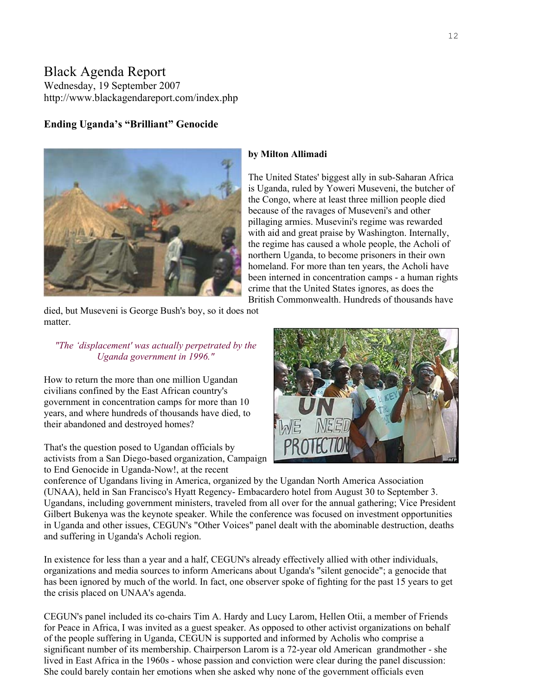## Black Agenda Report Wednesday, 19 September 2007 http://www.blackagendareport.com/index.php

### **Ending Uganda's "Brilliant" Genocide**



died, but Museveni is George Bush's boy, so it does not matter.

### *"The 'displacement' was actually perpetrated by the Uganda government in 1996."*

How to return the more than one million Ugandan civilians confined by the East African country's government in concentration camps for more than 10 years, and where hundreds of thousands have died, to their abandoned and destroyed homes?

activists from a San Diego-based organization, Campaign That's the question posed to Ugandan officials by [to End Genocide](http://www.cegun.org/) in Uganda-Now!, at the recent

# **by Milton Allimadi**

The United States' biggest ally in sub-Saharan Africa is Uganda, ruled by Yoweri Museveni, the butcher of the Congo, where at least three million people died because of the ravages of Museveni's and other pillaging armies. Musevini's regime was rewarded with aid and great praise by Washington. Internally, the regime has caused a whole people, the Acholi of northern Uganda, to become prisoners in their own homeland. For more than ten years, the Acholi have been interned in concentration camps - a human r ights crime that the United States ignores, as does the British Commonwealth. Hundreds of thousands have



conference of Ugandans living in America, organized by the Ugandan North America Association (UNAA), held in San Francisco's Hyatt Regency- Embacardero hotel from August 30 to September 3. Ugandans, including government ministers, traveled from all over for the annual gathering; Vice President Gilbert Bukenya was the keynote speaker. While the conference was focused on investment opportunities in Uganda and other issues, CEGUN's "Other Voices" panel dealt with the abominable destruction, deaths and suffering in Uganda's Acholi region.

In existence for less than a year and a half, CEGUN's already effectively allied with other individuals, organizations and media sources to inform Americans about Uganda's "silent genocide"; a genocide that has been ignored by much of the world. In fact, one observer spoke of fighting for the past 15 years to get the crisis placed on UNAA's agenda.

CEGUN's panel included its co-chairs Tim A. Hardy and Lucy Larom, Hellen Otii, a member of [Friends](http://www.friendsforpeaceinafrica.org/) for Peace in [Africa](http://www.friendsforpeaceinafrica.org/), I was invited as a guest speaker. As opposed to other activist organizations on behalf of the people suffering in Uganda, CEGUN is supported and informed by Acholis who comprise a significant number of its membership. Chairperson Larom is a 72-year old American grandmother - she lived in East Africa in the 1960s - whose passion and conviction were clear during the panel discussion: She could barely contain her emotions when she asked why none of the government officials even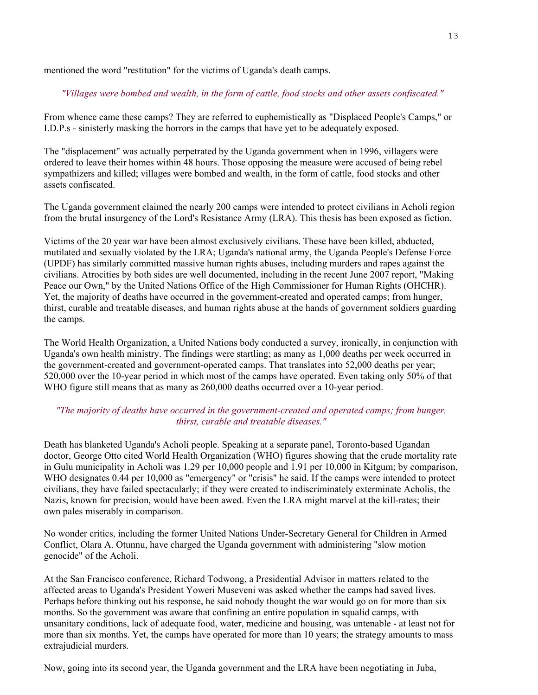mentioned the word "restitution" for the victims of Uganda's death camps.

### *"Villages were bombed and wealth, in the form of cattle, food stocks and other assets confiscated."*

From whence came these camps? They are referred to euphemistically as "Displaced People's Camps," or I.D.P.s - sinisterly masking the horrors in the camps that have yet to be adequately exposed.

The "displacement" was actually perpetrated by the Uganda government when in 1996, villagers were ordered to leave their homes within 48 hours. Those opposing the measure were accused of being rebel sympathizers and killed; villages were bombed and wealth, in the form of cattle, food stocks and other assets confiscated.

The Uganda government claimed the nearly 200 camps were intended to protect civilians in Acholi region from the brutal insurgency of the Lord's Resistance Army (LRA). This thesis has been exposed as fiction.

Victims of the 20 year war have been almost exclusively civilians. These have been killed, abducted, mutilated and sexually violated by the LRA; Uganda's national army, the Uganda People's Defense Force (UPDF) has similarly committed massive human rights abuses, including murders and rapes against the civilians. Atrocities by both sides are well documented, including in the recent June 2007 report, ["Making](http://www.ohchr.org/english/docs/northern_Uganda_august2007.pdf)  [Peace our Own](http://www.ohchr.org/english/docs/northern_Uganda_august2007.pdf)," by the United Nations Office of the High Commissioner for Human Rights (OHCHR). Yet, the majority of deaths have occurred in the government-created and operated camps; from hunger, thirst, curable and treatable diseases, and human rights abuse at the hands of government soldiers guarding the camps.

The World Health Organization, a United Nations body conducted a survey, ironically, in conjunction with Uganda's own health ministry. The findings were startling; as many as 1,000 deaths per week occurred in the government-created and government-operated camps. That translates into 52,000 deaths per year; 520,000 over the 10-year period in which most of the camps have operated. Even taking only 50% of that WHO figure still means that as many as 260,000 deaths occurred over a 10-year period.

### *"The majority of deaths have occurred in the government-created and operated camps; from hunger, thirst, curable and treatable diseases."*

Death has blanketed Uganda's Acholi people. Speaking at a separate panel, Toronto-based Ugandan doctor, George Otto cited World Health Organization (WHO) figures showing that the crude mortality rate in Gulu municipality in Acholi was 1.29 per 10,000 people and 1.91 per 10,000 in Kitgum; by comparison, WHO designates 0.44 per 10,000 as "emergency" or "crisis" he said. If the camps were intended to protect civilians, they have failed spectacularly; if they were created to indiscriminately exterminate Acholis, the Nazis, known for precision, would have been awed. Even the LRA might marvel at the kill-rates; their own pales miserably in comparison.

No wonder critics, including the former United Nations Under-Secretary General for Children in Armed Conflict, Olara A. Otunnu, have charged the Uganda government with administering "slow motion genocide" of the Acholi.

At the San Francisco conference, Richard Todwong, a Presidential Advisor in matters related to the affected areas to Uganda's President Yoweri Museveni was asked whether the camps had saved lives. Perhaps before thinking out his response, he said nobody thought the war would go on for more than six months. So the government was aware that confining an entire population in squalid camps, with unsanitary conditions, lack of adequate food, water, medicine and housing, was untenable - at least not for more than six months. Yet, the camps have operated for more than 10 years; the strategy amounts to mass extrajudicial murders.

Now, going into its second year, the Uganda government and the LRA have been negotiating in Juba,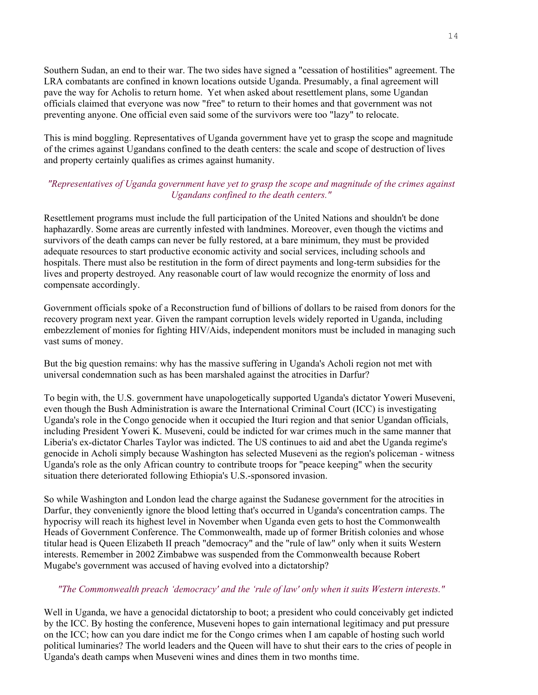Southern Sudan, an end to their war. The two sides have signed a "cessation of hostilities" agreement. The LRA combatants are confined in known locations outside Uganda. Presumably, a final agreement will pave the way for Acholis to return home. Yet when asked about resettlement plans, some Ugandan officials claimed that everyone was now "free" to return to their homes and that government was not preventing anyone. One official even said some of the survivors were too "lazy" to relocate.

This is mind boggling. Representatives of Uganda government have yet to grasp the scope and magnitude of the crimes against Ugandans confined to the death centers: the scale and scope of destruction of lives and property certainly qualifies as crimes against humanity.

### *"Representatives of Uganda government have yet to grasp the scope and magnitude of the crimes against Ugandans confined to the death centers."*

Resettlement programs must include the full participation of the United Nations and shouldn't be done haphazardly. Some areas are currently infested with landmines. Moreover, even though the victims and survivors of the death camps can never be fully restored, at a bare minimum, they must be provided adequate resources to start productive economic activity and social services, including schools and hospitals. There must also be restitution in the form of direct payments and long-term subsidies for the lives and property destroyed. Any reasonable court of law would recognize the enormity of loss and compensate accordingly.

Government officials spoke of a Reconstruction fund of billions of dollars to be raised from donors for the recovery program next year. Given the rampant corruption levels widely reported in Uganda, including embezzlement of monies for fighting HIV/Aids, independent monitors must be included in managing such vast sums of money.

But the big question remains: why has the massive suffering in Uganda's Acholi region not met with universal condemnation such as has been marshaled against the atrocities in Darfur?

To begin with, the U.S. government have unapologetically supported Uganda's dictator Yoweri Museveni, even though the Bush Administration is aware the International Criminal Court (ICC) is investigating Uganda's role in the Congo genocide when it occupied the Ituri region and that senior Ugandan officials, including President Yoweri K. Museveni, could be indicted for war crimes much in the same manner that Liberia's ex-dictator Charles Taylor was indicted. The US continues to aid and abet the Uganda regime's genocide in Acholi simply because Washington has selected Museveni as the region's policeman - witness Uganda's role as the only African country to contribute troops for "peace keeping" when the security situation there deteriorated following Ethiopia's U.S.-sponsored invasion.

So while Washington and London lead the charge against the Sudanese government for the atrocities in Darfur, they conveniently ignore the blood letting that's occurred in Uganda's concentration camps. The hypocrisy will reach its highest level in November when Uganda even gets to host the Commonwealth Heads of Government Conference. The Commonwealth, made up of former British colonies and whose titular head is Queen Elizabeth II preach "democracy" and the "rule of law" only when it suits Western interests. Remember in 2002 Zimbabwe was suspended from the Commonwealth because Robert Mugabe's government was accused of having evolved into a dictatorship?

### *"The Commonwealth preach 'democracy' and the 'rule of law' only when it suits Western interests."*

Well in Uganda, we have a genocidal dictatorship to boot; a president who could conceivably get indicted by the ICC. By hosting the conference, Museveni hopes to gain international legitimacy and put pressure on the ICC; how can you dare indict me for the Congo crimes when I am capable of hosting such world political luminaries? The world leaders and the Queen will have to shut their ears to the cries of people in Uganda's death camps when Museveni wines and dines them in two months time.